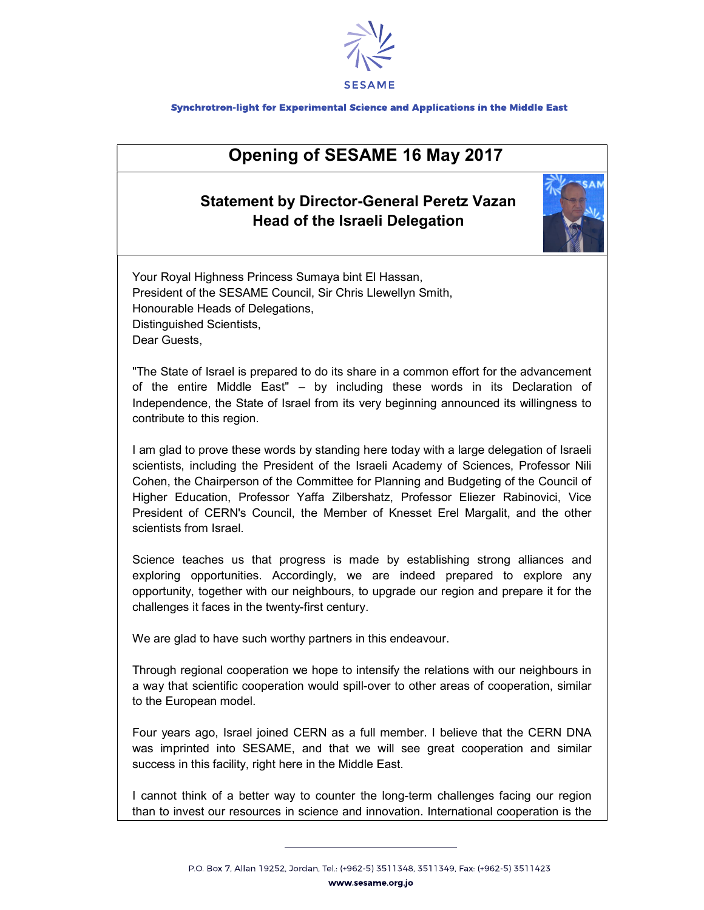

## Synchrotron-light for Experimental Science and Applications in the Middle East

## Opening of SESAME 16 May 2017

## Statement by Director-General Peretz Vazan Head of the Israeli Delegation



Your Royal Highness Princess Sumaya bint El Hassan, President of the SESAME Council, Sir Chris Llewellyn Smith, Honourable Heads of Delegations, Distinguished Scientists, Dear Guests,

"The State of Israel is prepared to do its share in a common effort for the advancement of the entire Middle East" – by including these words in its Declaration of Independence, the State of Israel from its very beginning announced its willingness to contribute to this region.

I am glad to prove these words by standing here today with a large delegation of Israeli scientists, including the President of the Israeli Academy of Sciences, Professor Nili Cohen, the Chairperson of the Committee for Planning and Budgeting of the Council of Higher Education, Professor Yaffa Zilbershatz, Professor Eliezer Rabinovici, Vice President of CERN's Council, the Member of Knesset Erel Margalit, and the other scientists from Israel.

Science teaches us that progress is made by establishing strong alliances and exploring opportunities. Accordingly, we are indeed prepared to explore any opportunity, together with our neighbours, to upgrade our region and prepare it for the challenges it faces in the twenty-first century.

We are glad to have such worthy partners in this endeavour.

Through regional cooperation we hope to intensify the relations with our neighbours in a way that scientific cooperation would spill-over to other areas of cooperation, similar to the European model.

Four years ago, Israel joined CERN as a full member. I believe that the CERN DNA was imprinted into SESAME, and that we will see great cooperation and similar success in this facility, right here in the Middle East.

I cannot think of a better way to counter the long-term challenges facing our region than to invest our resources in science and innovation. International cooperation is the